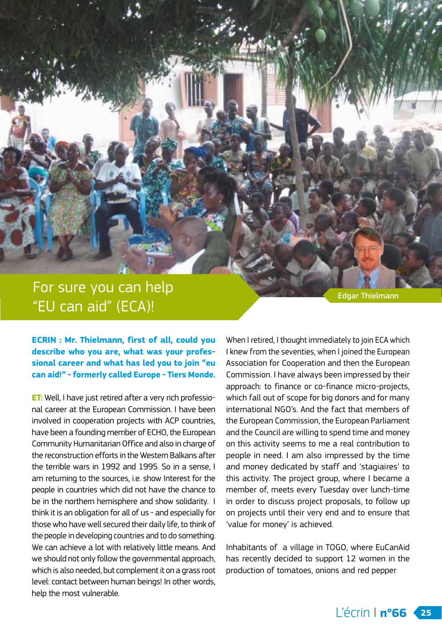## For sure you can help "EU can aid" (ECA)!

Edgar Thielmann

**ECRIN : Mr. Thielmann, first of all, could you describe who you are, what was your professional career and what has led you to join "eu can aid!" - formerly called Europe - Tiers Monde.**

**ET:** Well, I have just retired after a very rich professional career at the European Commission. I have been involved in cooperation projects with ACP countries, have been a founding member of ECHO, the European Community Humanitarian Office and also in charge of the reconstruction efforts in the Western Balkans after the terrible wars in 1992 and 1995. So in a sense, I am returning to the sources, i.e. show Interest for the people in countries which did not have the chance to be in the northern hemisphere and show solidarity. I think it is an obligation for all of us - and especially for those who have well secured their daily life, to think of the people in developing countries and to do something. We can achieve a lot with relatively little means. And we should not only follow the governmental approach, which is also needed, but complement it on a grass root level: contact between human beings! In other words, help the most vulnerable.

When I retired, I thought immediately to join ECA which I knew from the seventies, when I joined the European Association for Cooperation and then the European Commission. I have always been impressed by their approach: to finance or co-finance micro-projects, which fall out of scope for big donors and for many international NGO's. And the fact that members of the European Commission, the European Parliament and the Council are willing to spend time and money on this activity seems to me a real contribution to people in need. I am also impressed by the time and money dedicated by staff and 'stagiaires' to this activity. The project group, where I became a member of, meets every Tuesday over lunch-time in order to discuss project proposals, to follow up on projects until their very end and to ensure that 'value for money' is achieved.

Inhabitants of a village in TOGO, where EuCanAid has recently decided to support 12 women in the production of tomatoes, onions and red pepper